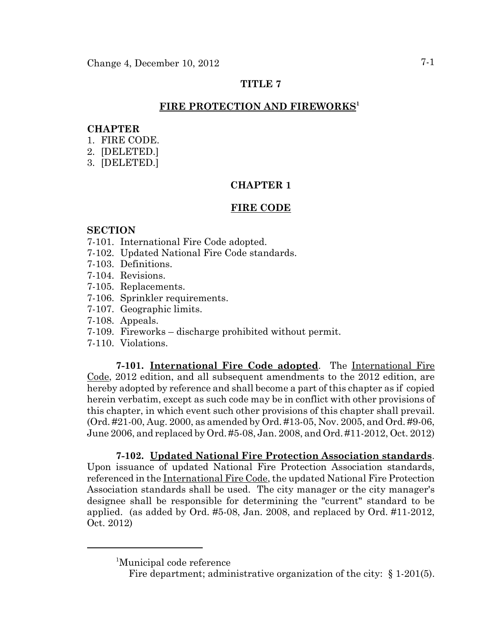## **TITLE 7**

## FIRE PROTECTION AND FIREWORKS<sup>1</sup>

#### **CHAPTER**

- 1. FIRE CODE.
- 2. [DELETED.]
- 3. [DELETED.]

### **CHAPTER 1**

### **FIRE CODE**

#### **SECTION**

- 7-101. International Fire Code adopted.
- 7-102. Updated National Fire Code standards.
- 7-103. Definitions.
- 7-104. Revisions.
- 7-105. Replacements.
- 7-106. Sprinkler requirements.
- 7-107. Geographic limits.
- 7-108. Appeals.
- 7-109. Fireworks discharge prohibited without permit.
- 7-110. Violations.

**7-101. International Fire Code adopted**. The International Fire Code, 2012 edition, and all subsequent amendments to the 2012 edition, are hereby adopted by reference and shall become a part of this chapter as if copied herein verbatim, except as such code may be in conflict with other provisions of this chapter, in which event such other provisions of this chapter shall prevail. (Ord. #21-00, Aug. 2000, as amended by Ord. #13-05, Nov. 2005, and Ord. #9-06, June 2006, and replaced by Ord. #5-08, Jan. 2008, and Ord. #11-2012, Oct. 2012)

**7-102. Updated National Fire Protection Association standards**.

Upon issuance of updated National Fire Protection Association standards, referenced in the International Fire Code, the updated National Fire Protection Association standards shall be used. The city manager or the city manager's designee shall be responsible for determining the "current" standard to be applied. (as added by Ord. #5-08, Jan. 2008, and replaced by Ord. #11-2012, Oct. 2012)

<sup>1</sup> Municipal code reference

Fire department; administrative organization of the city:  $\S 1-201(5)$ .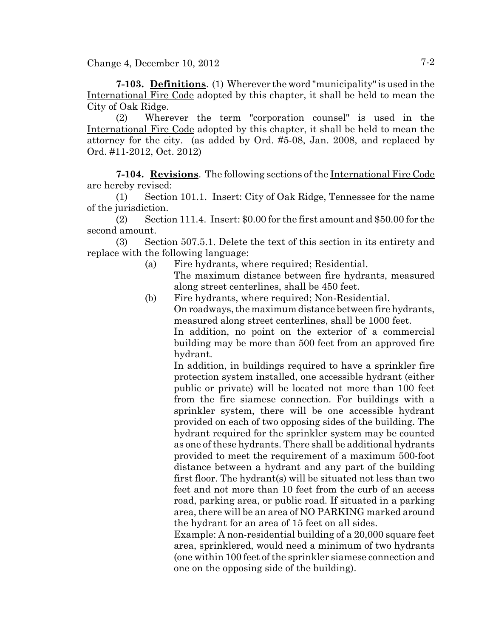**7-103. Definitions**. (1) Wherever the word "municipality" is used in the International Fire Code adopted by this chapter, it shall be held to mean the City of Oak Ridge.

(2) Wherever the term "corporation counsel" is used in the International Fire Code adopted by this chapter, it shall be held to mean the attorney for the city. (as added by Ord. #5-08, Jan. 2008, and replaced by Ord. #11-2012, Oct. 2012)

**7-104. Revisions**. The following sections of the International Fire Code are hereby revised:

(1) Section 101.1. Insert: City of Oak Ridge, Tennessee for the name of the jurisdiction.

(2) Section 111.4. Insert: \$0.00 for the first amount and \$50.00 for the second amount.

(3) Section 507.5.1. Delete the text of this section in its entirety and replace with the following language:

- (a) Fire hydrants, where required; Residential. The maximum distance between fire hydrants, measured along street centerlines, shall be 450 feet.
- (b) Fire hydrants, where required; Non-Residential.

On roadways, the maximum distance between fire hydrants, measured along street centerlines, shall be 1000 feet.

In addition, no point on the exterior of a commercial building may be more than 500 feet from an approved fire hydrant.

In addition, in buildings required to have a sprinkler fire protection system installed, one accessible hydrant (either public or private) will be located not more than 100 feet from the fire siamese connection. For buildings with a sprinkler system, there will be one accessible hydrant provided on each of two opposing sides of the building. The hydrant required for the sprinkler system may be counted as one of these hydrants. There shall be additional hydrants provided to meet the requirement of a maximum 500-foot distance between a hydrant and any part of the building first floor. The hydrant(s) will be situated not less than two feet and not more than 10 feet from the curb of an access road, parking area, or public road. If situated in a parking area, there will be an area of NO PARKING marked around the hydrant for an area of 15 feet on all sides.

Example: A non-residential building of a 20,000 square feet area, sprinklered, would need a minimum of two hydrants (one within 100 feet of the sprinkler siamese connection and one on the opposing side of the building).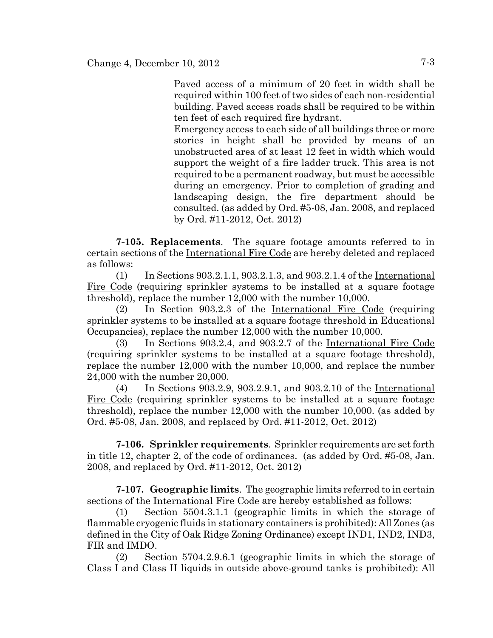Paved access of a minimum of 20 feet in width shall be required within 100 feet of two sides of each non-residential building. Paved access roads shall be required to be within ten feet of each required fire hydrant.

Emergency access to each side of all buildings three or more stories in height shall be provided by means of an unobstructed area of at least 12 feet in width which would support the weight of a fire ladder truck. This area is not required to be a permanent roadway, but must be accessible during an emergency. Prior to completion of grading and landscaping design, the fire department should be consulted. (as added by Ord. #5-08, Jan. 2008, and replaced by Ord. #11-2012, Oct. 2012)

**7-105. Replacements**. The square footage amounts referred to in certain sections of the International Fire Code are hereby deleted and replaced as follows:

(1) In Sections 903.2.1.1, 903.2.1.3, and 903.2.1.4 of the International Fire Code (requiring sprinkler systems to be installed at a square footage threshold), replace the number 12,000 with the number 10,000.

(2) In Section 903.2.3 of the International Fire Code (requiring sprinkler systems to be installed at a square footage threshold in Educational Occupancies), replace the number 12,000 with the number 10,000.

(3) In Sections 903.2.4, and 903.2.7 of the International Fire Code (requiring sprinkler systems to be installed at a square footage threshold), replace the number 12,000 with the number 10,000, and replace the number 24,000 with the number 20,000.

(4) In Sections 903.2.9, 903.2.9.1, and 903.2.10 of the International Fire Code (requiring sprinkler systems to be installed at a square footage threshold), replace the number 12,000 with the number 10,000. (as added by Ord. #5-08, Jan. 2008, and replaced by Ord. #11-2012, Oct. 2012)

**7-106. Sprinkler requirements**. Sprinkler requirements are set forth in title 12, chapter 2, of the code of ordinances. (as added by Ord. #5-08, Jan. 2008, and replaced by Ord. #11-2012, Oct. 2012)

**7-107. Geographic limits**. The geographic limits referred to in certain sections of the International Fire Code are hereby established as follows:

(1) Section 5504.3.1.1 (geographic limits in which the storage of flammable cryogenic fluids in stationary containers is prohibited): All Zones (as defined in the City of Oak Ridge Zoning Ordinance) except IND1, IND2, IND3, FIR and IMDO.

(2) Section 5704.2.9.6.1 (geographic limits in which the storage of Class I and Class II liquids in outside above-ground tanks is prohibited): All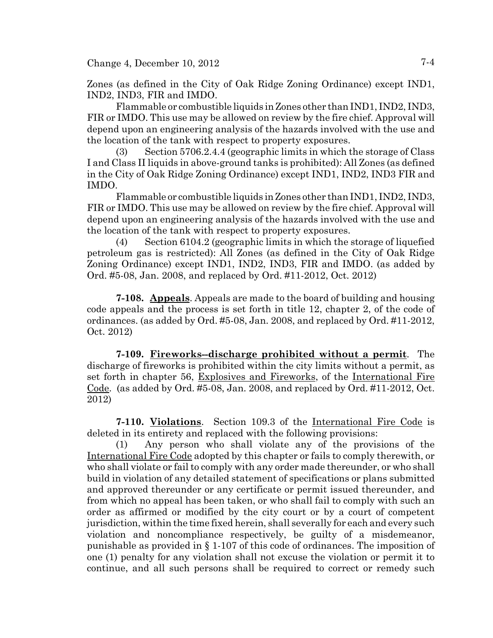Change 4, December 10, 2012 7-4

Zones (as defined in the City of Oak Ridge Zoning Ordinance) except IND1, IND2, IND3, FIR and IMDO.

Flammable or combustible liquids in Zones other than IND1, IND2, IND3, FIR or IMDO. This use may be allowed on review by the fire chief. Approval will depend upon an engineering analysis of the hazards involved with the use and the location of the tank with respect to property exposures.

(3) Section 5706.2.4.4 (geographic limits in which the storage of Class I and Class II liquids in above-ground tanks is prohibited): All Zones (as defined in the City of Oak Ridge Zoning Ordinance) except IND1, IND2, IND3 FIR and IMDO.

Flammable or combustible liquids in Zones other than IND1, IND2, IND3, FIR or IMDO. This use may be allowed on review by the fire chief. Approval will depend upon an engineering analysis of the hazards involved with the use and the location of the tank with respect to property exposures.

(4) Section 6104.2 (geographic limits in which the storage of liquefied petroleum gas is restricted): All Zones (as defined in the City of Oak Ridge Zoning Ordinance) except IND1, IND2, IND3, FIR and IMDO. (as added by Ord. #5-08, Jan. 2008, and replaced by Ord. #11-2012, Oct. 2012)

**7-108. Appeals**. Appeals are made to the board of building and housing code appeals and the process is set forth in title 12, chapter 2, of the code of ordinances. (as added by Ord. #5-08, Jan. 2008, and replaced by Ord. #11-2012, Oct. 2012)

**7-109. Fireworks--discharge prohibited without a permit**. The discharge of fireworks is prohibited within the city limits without a permit, as set forth in chapter 56, Explosives and Fireworks, of the International Fire Code. (as added by Ord. #5-08, Jan. 2008, and replaced by Ord. #11-2012, Oct. 2012)

**7-110. Violations**. Section 109.3 of the International Fire Code is deleted in its entirety and replaced with the following provisions:

(1) Any person who shall violate any of the provisions of the International Fire Code adopted by this chapter or fails to comply therewith, or who shall violate or fail to comply with any order made thereunder, or who shall build in violation of any detailed statement of specifications or plans submitted and approved thereunder or any certificate or permit issued thereunder, and from which no appeal has been taken, or who shall fail to comply with such an order as affirmed or modified by the city court or by a court of competent jurisdiction, within the time fixed herein, shall severally for each and every such violation and noncompliance respectively, be guilty of a misdemeanor, punishable as provided in § 1-107 of this code of ordinances. The imposition of one (1) penalty for any violation shall not excuse the violation or permit it to continue, and all such persons shall be required to correct or remedy such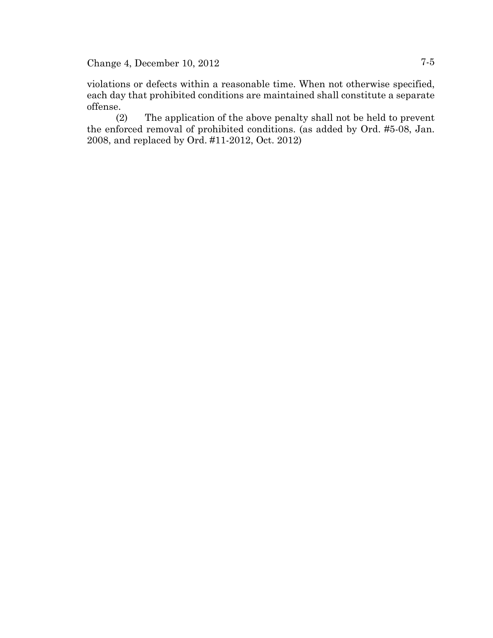violations or defects within a reasonable time. When not otherwise specified, each day that prohibited conditions are maintained shall constitute a separate offense.

(2) The application of the above penalty shall not be held to prevent the enforced removal of prohibited conditions. (as added by Ord. #5-08, Jan. 2008, and replaced by Ord. #11-2012, Oct. 2012)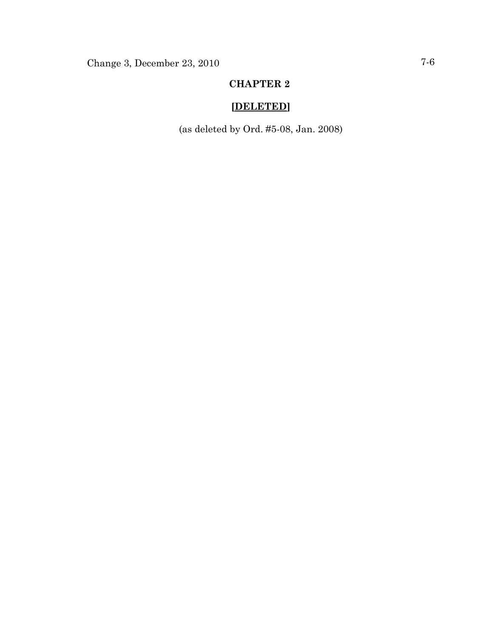# **CHAPTER 2**

# **[DELETED]**

(as deleted by Ord. #5-08, Jan. 2008)